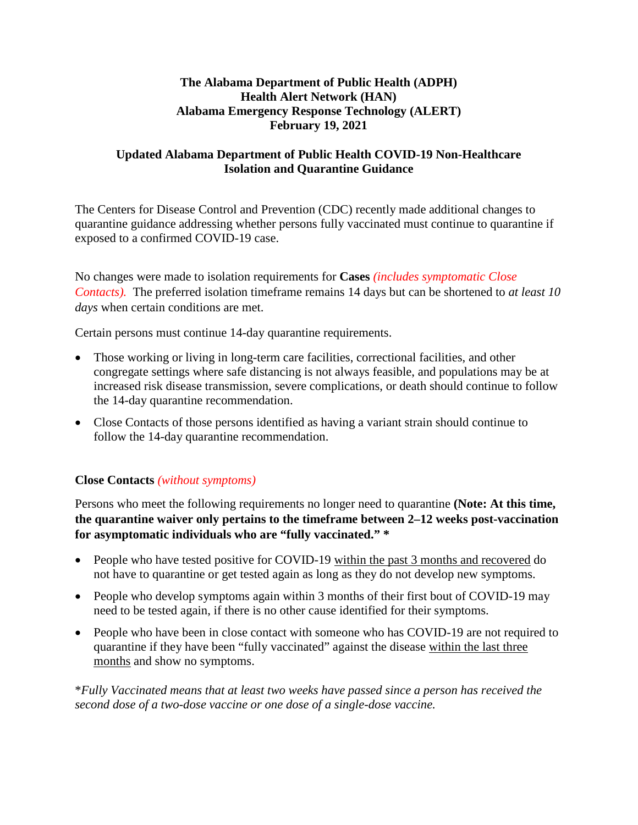## **The Alabama Department of Public Health (ADPH) Health Alert Network (HAN) Alabama Emergency Response Technology (ALERT) February 19, 2021**

## **Updated Alabama Department of Public Health COVID-19 Non-Healthcare Isolation and Quarantine Guidance**

The Centers for Disease Control and Prevention (CDC) recently made additional changes to quarantine guidance addressing whether persons fully vaccinated must continue to quarantine if exposed to a confirmed COVID-19 case.

No changes were made to isolation requirements for **Cases** *(includes symptomatic Close Contacts).* The preferred isolation timeframe remains 14 days but can be shortened to *at least 10 days* when certain conditions are met.

Certain persons must continue 14-day quarantine requirements.

- Those working or living in long-term care facilities, correctional facilities, and other congregate settings where safe distancing is not always feasible, and populations may be at increased risk disease transmission, severe complications, or death should continue to follow the 14-day quarantine recommendation.
- Close Contacts of those persons identified as having a variant strain should continue to follow the 14-day quarantine recommendation.

## **Close Contacts** *(without symptoms)*

Persons who meet the following requirements no longer need to quarantine **(Note: At this time, the quarantine waiver only pertains to the timeframe between 2–12 weeks post-vaccination for asymptomatic individuals who are "fully vaccinated." \***

- People who have tested positive for COVID-19 within the past 3 months and recovered do not have to quarantine or get tested again as long as they do not develop new symptoms.
- People who develop symptoms again within 3 months of their first bout of COVID-19 may need to be tested again, if there is no other cause identified for their symptoms.
- People who have been in close contact with someone who has COVID-19 are not required to quarantine if they have been "fully vaccinated" against the disease within the last three months and show no symptoms.

\**Fully Vaccinated means that at least two weeks have passed since a person has received the second dose of a two-dose vaccine or one dose of a single-dose vaccine.*